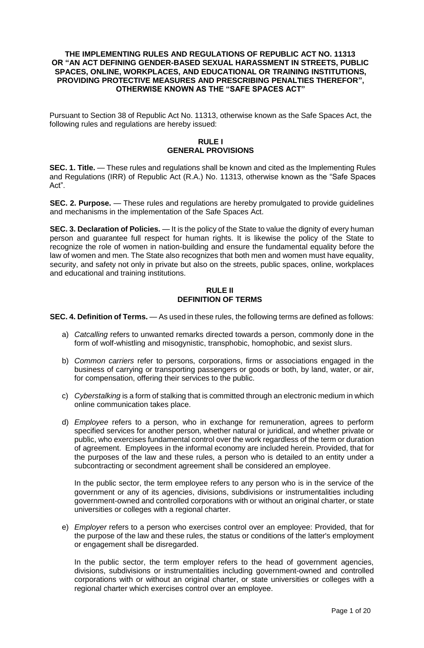#### **THE IMPLEMENTING RULES AND REGULATIONS OF REPUBLIC ACT NO. 11313 OR "AN ACT DEFINING GENDER-BASED SEXUAL HARASSMENT IN STREETS, PUBLIC SPACES, ONLINE, WORKPLACES, AND EDUCATIONAL OR TRAINING INSTITUTIONS, PROVIDING PROTECTIVE MEASURES AND PRESCRIBING PENALTIES THEREFOR", OTHERWISE KNOWN AS THE "SAFE SPACES ACT"**

Pursuant to Section 38 of Republic Act No. 11313, otherwise known as the Safe Spaces Act, the following rules and regulations are hereby issued:

## **RULE I GENERAL PROVISIONS**

**SEC. 1. Title.** — These rules and regulations shall be known and cited as the Implementing Rules and Regulations (IRR) of Republic Act (R.A.) No. 11313, otherwise known as the "Safe Spaces Act".

**SEC. 2. Purpose.** — These rules and regulations are hereby promulgated to provide guidelines and mechanisms in the implementation of the Safe Spaces Act.

**SEC. 3. Declaration of Policies.** — It is the policy of the State to value the dignity of every human person and guarantee full respect for human rights. It is likewise the policy of the State to recognize the role of women in nation-building and ensure the fundamental equality before the law of women and men. The State also recognizes that both men and women must have equality, security, and safety not only in private but also on the streets, public spaces, online, workplaces and educational and training institutions.

# **RULE II DEFINITION OF TERMS**

**SEC. 4. Definition of Terms.** — As used in these rules, the following terms are defined as follows:

- a) *Catcalling* refers to unwanted remarks directed towards a person, commonly done in the form of wolf-whistling and misogynistic, transphobic, homophobic, and sexist slurs.
- b) *Common carriers* refer to persons, corporations, firms or associations engaged in the business of carrying or transporting passengers or goods or both, by land, water, or air, for compensation, offering their services to the public.
- c) *Cyberstalking* is a form of stalking that is committed through an electronic medium in which online communication takes place.
- d) *Employee* refers to a person, who in exchange for remuneration, agrees to perform specified services for another person, whether natural or juridical, and whether private or public, who exercises fundamental control over the work regardless of the term or duration of agreement. Employees in the informal economy are included herein. Provided, that for the purposes of the law and these rules, a person who is detailed to an entity under a subcontracting or secondment agreement shall be considered an employee.

In the public sector, the term employee refers to any person who is in the service of the government or any of its agencies, divisions, subdivisions or instrumentalities including government-owned and controlled corporations with or without an original charter, or state universities or colleges with a regional charter.

e) *Employer* refers to a person who exercises control over an employee: Provided, that for the purpose of the law and these rules, the status or conditions of the latter's employment or engagement shall be disregarded.

In the public sector, the term employer refers to the head of government agencies, divisions, subdivisions or instrumentalities including government-owned and controlled corporations with or without an original charter, or state universities or colleges with a regional charter which exercises control over an employee.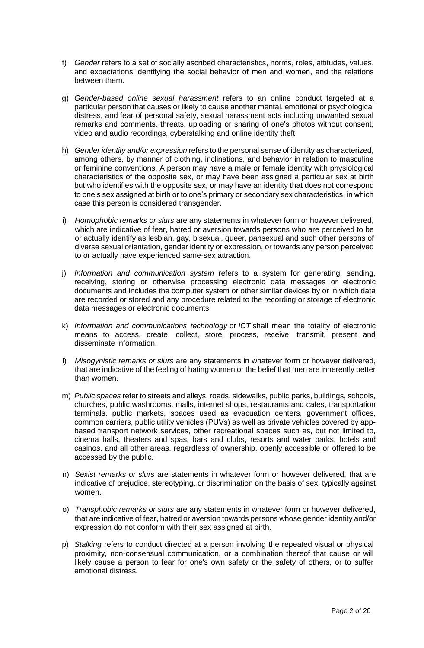- f) *Gender* refers to a set of socially ascribed characteristics, norms, roles, attitudes, values, and expectations identifying the social behavior of men and women, and the relations between them.
- g) *Gender-based online sexual harassment* refers to an online conduct targeted at a particular person that causes or likely to cause another mental, emotional or psychological distress, and fear of personal safety, sexual harassment acts including unwanted sexual remarks and comments, threats, uploading or sharing of one's photos without consent, video and audio recordings, cyberstalking and online identity theft.
- h) *Gender identity and/or expression* refers to the personal sense of identity as characterized, among others, by manner of clothing, inclinations, and behavior in relation to masculine or feminine conventions. A person may have a male or female identity with physiological characteristics of the opposite sex, or may have been assigned a particular sex at birth but who identifies with the opposite sex, or may have an identity that does not correspond to one's sex assigned at birth or to one's primary or secondary sex characteristics, in which case this person is considered transgender.
- i) *Homophobic remarks or slurs* are any statements in whatever form or however delivered, which are indicative of fear, hatred or aversion towards persons who are perceived to be or actually identify as lesbian, gay, bisexual, queer, pansexual and such other persons of diverse sexual orientation, gender identity or expression, or towards any person perceived to or actually have experienced same-sex attraction.
- j) *Information and communication system* refers to a system for generating, sending, receiving, storing or otherwise processing electronic data messages or electronic documents and includes the computer system or other similar devices by or in which data are recorded or stored and any procedure related to the recording or storage of electronic data messages or electronic documents.
- k) *Information and communications technology* or *ICT* shall mean the totality of electronic means to access, create, collect, store, process, receive, transmit, present and disseminate information.
- l) *Misogynistic remarks or slurs* are any statements in whatever form or however delivered, that are indicative of the feeling of hating women or the belief that men are inherently better than women.
- m) *Public spaces* refer to streets and alleys, roads, sidewalks, public parks, buildings, schools, churches, public washrooms, malls, internet shops, restaurants and cafes, transportation terminals, public markets, spaces used as evacuation centers, government offices, common carriers, public utility vehicles (PUVs) as well as private vehicles covered by appbased transport network services, other recreational spaces such as, but not limited to, cinema halls, theaters and spas, bars and clubs, resorts and water parks, hotels and casinos, and all other areas, regardless of ownership, openly accessible or offered to be accessed by the public.
- n) *Sexist remarks or slurs* are statements in whatever form or however delivered, that are indicative of prejudice, stereotyping, or discrimination on the basis of sex, typically against women.
- o) *Transphobic remarks or slurs* are any statements in whatever form or however delivered, that are indicative of fear, hatred or aversion towards persons whose gender identity and/or expression do not conform with their sex assigned at birth.
- p) *Stalking* refers to conduct directed at a person involving the repeated visual or physical proximity, non-consensual communication, or a combination thereof that cause or will likely cause a person to fear for one's own safety or the safety of others, or to suffer emotional distress.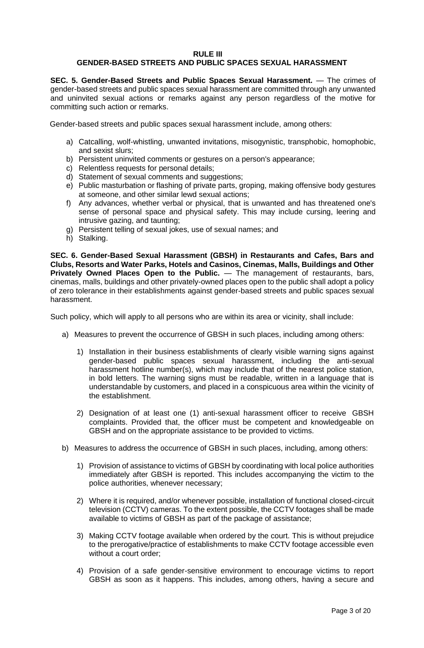#### **RULE III GENDER-BASED STREETS AND PUBLIC SPACES SEXUAL HARASSMENT**

**SEC. 5. Gender-Based Streets and Public Spaces Sexual Harassment.** — The crimes of gender-based streets and public spaces sexual harassment are committed through any unwanted and uninvited sexual actions or remarks against any person regardless of the motive for committing such action or remarks.

Gender-based streets and public spaces sexual harassment include, among others:

- a) Catcalling, wolf-whistling, unwanted invitations, misogynistic, transphobic, homophobic, and sexist slurs;
- b) Persistent uninvited comments or gestures on a person's appearance;
- c) Relentless requests for personal details;
- d) Statement of sexual comments and suggestions;
- e) Public masturbation or flashing of private parts, groping, making offensive body gestures at someone, and other similar lewd sexual actions;
- f) Any advances, whether verbal or physical, that is unwanted and has threatened one's sense of personal space and physical safety. This may include cursing, leering and intrusive gazing, and taunting;
- g) Persistent telling of sexual jokes, use of sexual names; and
- h) Stalking.

**SEC. 6. Gender-Based Sexual Harassment (GBSH) in Restaurants and Cafes, Bars and Clubs, Resorts and Water Parks, Hotels and Casinos, Cinemas, Malls, Buildings and Other Privately Owned Places Open to the Public.** — The management of restaurants, bars, cinemas, malls, buildings and other privately-owned places open to the public shall adopt a policy of zero tolerance in their establishments against gender-based streets and public spaces sexual harassment.

Such policy, which will apply to all persons who are within its area or vicinity, shall include:

- a) Measures to prevent the occurrence of GBSH in such places, including among others:
	- 1) Installation in their business establishments of clearly visible warning signs against gender-based public spaces sexual harassment, including the anti-sexual harassment hotline number(s), which may include that of the nearest police station, in bold letters. The warning signs must be readable, written in a language that is understandable by customers, and placed in a conspicuous area within the vicinity of the establishment.
	- 2) Designation of at least one (1) anti-sexual harassment officer to receive GBSH complaints. Provided that, the officer must be competent and knowledgeable on GBSH and on the appropriate assistance to be provided to victims.
- b) Measures to address the occurrence of GBSH in such places, including, among others:
	- 1) Provision of assistance to victims of GBSH by coordinating with local police authorities immediately after GBSH is reported. This includes accompanying the victim to the police authorities, whenever necessary;
	- 2) Where it is required, and/or whenever possible, installation of functional closed-circuit television (CCTV) cameras. To the extent possible, the CCTV footages shall be made available to victims of GBSH as part of the package of assistance;
	- 3) Making CCTV footage available when ordered by the court. This is without prejudice to the prerogative/practice of establishments to make CCTV footage accessible even without a court order;
	- 4) Provision of a safe gender-sensitive environment to encourage victims to report GBSH as soon as it happens. This includes, among others, having a secure and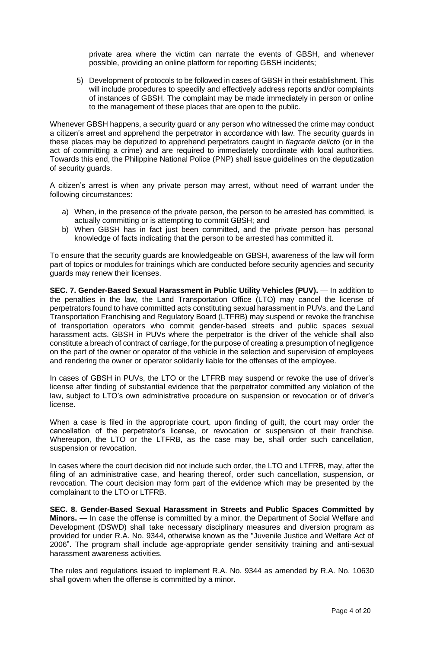private area where the victim can narrate the events of GBSH, and whenever possible, providing an online platform for reporting GBSH incidents;

5) Development of protocols to be followed in cases of GBSH in their establishment. This will include procedures to speedily and effectively address reports and/or complaints of instances of GBSH. The complaint may be made immediately in person or online to the management of these places that are open to the public.

Whenever GBSH happens, a security guard or any person who witnessed the crime may conduct a citizen's arrest and apprehend the perpetrator in accordance with law. The security guards in these places may be deputized to apprehend perpetrators caught in *flagrante delicto* (or in the act of committing a crime) and are required to immediately coordinate with local authorities. Towards this end, the Philippine National Police (PNP) shall issue guidelines on the deputization of security guards.

A citizen's arrest is when any private person may arrest, without need of warrant under the following circumstances:

- a) When, in the presence of the private person, the person to be arrested has committed, is actually committing or is attempting to commit GBSH; and
- b) When GBSH has in fact just been committed, and the private person has personal knowledge of facts indicating that the person to be arrested has committed it.

To ensure that the security guards are knowledgeable on GBSH, awareness of the law will form part of topics or modules for trainings which are conducted before security agencies and security guards may renew their licenses.

**SEC. 7. Gender-Based Sexual Harassment in Public Utility Vehicles (PUV).** — In addition to the penalties in the law, the Land Transportation Office (LTO) may cancel the license of perpetrators found to have committed acts constituting sexual harassment in PUVs, and the Land Transportation Franchising and Regulatory Board (LTFRB) may suspend or revoke the franchise of transportation operators who commit gender-based streets and public spaces sexual harassment acts. GBSH in PUVs where the perpetrator is the driver of the vehicle shall also constitute a breach of contract of carriage, for the purpose of creating a presumption of negligence on the part of the owner or operator of the vehicle in the selection and supervision of employees and rendering the owner or operator solidarily liable for the offenses of the employee.

In cases of GBSH in PUVs, the LTO or the LTFRB may suspend or revoke the use of driver's license after finding of substantial evidence that the perpetrator committed any violation of the law, subject to LTO's own administrative procedure on suspension or revocation or of driver's license.

When a case is filed in the appropriate court, upon finding of guilt, the court may order the cancellation of the perpetrator's license, or revocation or suspension of their franchise. Whereupon, the LTO or the LTFRB, as the case may be, shall order such cancellation, suspension or revocation.

In cases where the court decision did not include such order, the LTO and LTFRB, may, after the filing of an administrative case, and hearing thereof, order such cancellation, suspension, or revocation. The court decision may form part of the evidence which may be presented by the complainant to the LTO or LTFRB.

**SEC. 8. Gender-Based Sexual Harassment in Streets and Public Spaces Committed by Minors.** — In case the offense is committed by a minor, the Department of Social Welfare and Development (DSWD) shall take necessary disciplinary measures and diversion program as provided for under R.A. No. 9344, otherwise known as the "Juvenile Justice and Welfare Act of 2006". The program shall include age-appropriate gender sensitivity training and anti-sexual harassment awareness activities.

The rules and regulations issued to implement R.A. No. 9344 as amended by R.A. No. 10630 shall govern when the offense is committed by a minor.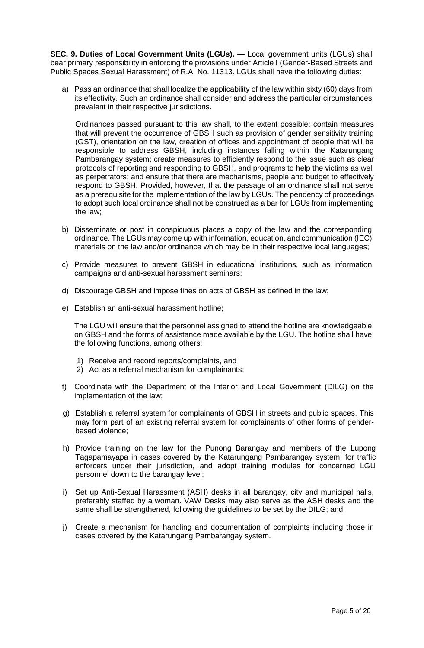**SEC. 9. Duties of Local Government Units (LGUs).** — Local government units (LGUs) shall bear primary responsibility in enforcing the provisions under Article I (Gender-Based Streets and Public Spaces Sexual Harassment) of R.A. No. 11313. LGUs shall have the following duties:

a) Pass an ordinance that shall localize the applicability of the law within sixty (60) days from its effectivity. Such an ordinance shall consider and address the particular circumstances prevalent in their respective jurisdictions.

Ordinances passed pursuant to this law shall, to the extent possible: contain measures that will prevent the occurrence of GBSH such as provision of gender sensitivity training (GST), orientation on the law, creation of offices and appointment of people that will be responsible to address GBSH, including instances falling within the Katarungang Pambarangay system; create measures to efficiently respond to the issue such as clear protocols of reporting and responding to GBSH, and programs to help the victims as well as perpetrators; and ensure that there are mechanisms, people and budget to effectively respond to GBSH. Provided, however, that the passage of an ordinance shall not serve as a prerequisite for the implementation of the law by LGUs. The pendency of proceedings to adopt such local ordinance shall not be construed as a bar for LGUs from implementing the law;

- b) Disseminate or post in conspicuous places a copy of the law and the corresponding ordinance. The LGUs may come up with information, education, and communication (IEC) materials on the law and/or ordinance which may be in their respective local languages;
- c) Provide measures to prevent GBSH in educational institutions, such as information campaigns and anti-sexual harassment seminars;
- d) Discourage GBSH and impose fines on acts of GBSH as defined in the law;
- e) Establish an anti-sexual harassment hotline;

The LGU will ensure that the personnel assigned to attend the hotline are knowledgeable on GBSH and the forms of assistance made available by the LGU. The hotline shall have the following functions, among others:

- 1) Receive and record reports/complaints, and
- 2) Act as a referral mechanism for complainants;
- f) Coordinate with the Department of the Interior and Local Government (DILG) on the implementation of the law;
- g) Establish a referral system for complainants of GBSH in streets and public spaces. This may form part of an existing referral system for complainants of other forms of genderbased violence;
- h) Provide training on the law for the Punong Barangay and members of the Lupong Tagapamayapa in cases covered by the Katarungang Pambarangay system, for traffic enforcers under their jurisdiction, and adopt training modules for concerned LGU personnel down to the barangay level;
- i) Set up Anti-Sexual Harassment (ASH) desks in all barangay, city and municipal halls, preferably staffed by a woman. VAW Desks may also serve as the ASH desks and the same shall be strengthened, following the guidelines to be set by the DILG; and
- j) Create a mechanism for handling and documentation of complaints including those in cases covered by the Katarungang Pambarangay system.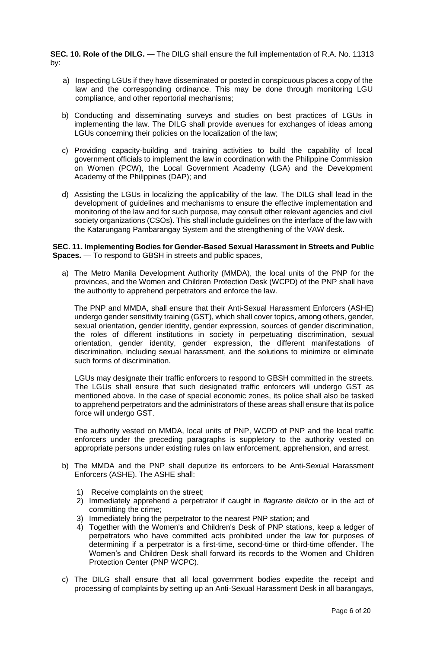**SEC. 10. Role of the DILG.** — The DILG shall ensure the full implementation of R.A. No. 11313 by:

- a) Inspecting LGUs if they have disseminated or posted in conspicuous places a copy of the law and the corresponding ordinance. This may be done through monitoring LGU compliance, and other reportorial mechanisms;
- b) Conducting and disseminating surveys and studies on best practices of LGUs in implementing the law. The DILG shall provide avenues for exchanges of ideas among LGUs concerning their policies on the localization of the law;
- c) Providing capacity-building and training activities to build the capability of local government officials to implement the law in coordination with the Philippine Commission on Women (PCW), the Local Government Academy (LGA) and the Development Academy of the Philippines (DAP); and
- d) Assisting the LGUs in localizing the applicability of the law. The DILG shall lead in the development of guidelines and mechanisms to ensure the effective implementation and monitoring of the law and for such purpose, may consult other relevant agencies and civil society organizations (CSOs). This shall include guidelines on the interface of the law with the Katarungang Pambarangay System and the strengthening of the VAW desk.

**SEC. 11. Implementing Bodies for Gender-Based Sexual Harassment in Streets and Public Spaces.** — To respond to GBSH in streets and public spaces,

a) The Metro Manila Development Authority (MMDA), the local units of the PNP for the provinces, and the Women and Children Protection Desk (WCPD) of the PNP shall have the authority to apprehend perpetrators and enforce the law.

The PNP and MMDA, shall ensure that their Anti-Sexual Harassment Enforcers (ASHE) undergo gender sensitivity training (GST), which shall cover topics, among others, gender, sexual orientation, gender identity, gender expression, sources of gender discrimination, the roles of different institutions in society in perpetuating discrimination, sexual orientation, gender identity, gender expression, the different manifestations of discrimination, including sexual harassment, and the solutions to minimize or eliminate such forms of discrimination.

LGUs may designate their traffic enforcers to respond to GBSH committed in the streets. The LGUs shall ensure that such designated traffic enforcers will undergo GST as mentioned above. In the case of special economic zones, its police shall also be tasked to apprehend perpetrators and the administrators of these areas shall ensure that its police force will undergo GST.

The authority vested on MMDA, local units of PNP, WCPD of PNP and the local traffic enforcers under the preceding paragraphs is suppletory to the authority vested on appropriate persons under existing rules on law enforcement, apprehension, and arrest.

- b) The MMDA and the PNP shall deputize its enforcers to be Anti-Sexual Harassment Enforcers (ASHE). The ASHE shall:
	- 1) Receive complaints on the street;
	- 2) Immediately apprehend a perpetrator if caught in *flagrante delicto* or in the act of committing the crime;
	- 3) Immediately bring the perpetrator to the nearest PNP station; and
	- 4) Together with the Women's and Children's Desk of PNP stations, keep a ledger of perpetrators who have committed acts prohibited under the law for purposes of determining if a perpetrator is a first-time, second-time or third-time offender. The Women's and Children Desk shall forward its records to the Women and Children Protection Center (PNP WCPC).
- c) The DILG shall ensure that all local government bodies expedite the receipt and processing of complaints by setting up an Anti-Sexual Harassment Desk in all barangays,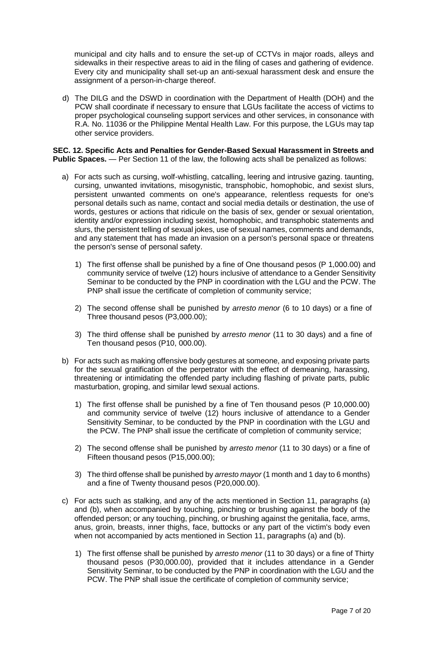municipal and city halls and to ensure the set-up of CCTVs in major roads, alleys and sidewalks in their respective areas to aid in the filing of cases and gathering of evidence. Every city and municipality shall set-up an anti-sexual harassment desk and ensure the assignment of a person-in-charge thereof.

d) The DILG and the DSWD in coordination with the Department of Health (DOH) and the PCW shall coordinate if necessary to ensure that LGUs facilitate the access of victims to proper psychological counseling support services and other services, in consonance with R.A. No. 11036 or the Philippine Mental Health Law. For this purpose, the LGUs may tap other service providers.

#### **SEC. 12. Specific Acts and Penalties for Gender-Based Sexual Harassment in Streets and Public Spaces.** — Per Section 11 of the law, the following acts shall be penalized as follows:

- a) For acts such as cursing, wolf-whistling, catcalling, leering and intrusive gazing. taunting, cursing, unwanted invitations, misogynistic, transphobic, homophobic, and sexist slurs, persistent unwanted comments on one's appearance, relentless requests for one's personal details such as name, contact and social media details or destination, the use of words, gestures or actions that ridicule on the basis of sex, gender or sexual orientation, identity and/or expression including sexist, homophobic, and transphobic statements and slurs, the persistent telling of sexual jokes, use of sexual names, comments and demands, and any statement that has made an invasion on a person's personal space or threatens the person's sense of personal safety.
	- 1) The first offense shall be punished by a fine of One thousand pesos (P 1,000.00) and community service of twelve (12) hours inclusive of attendance to a Gender Sensitivity Seminar to be conducted by the PNP in coordination with the LGU and the PCW. The PNP shall issue the certificate of completion of community service;
	- 2) The second offense shall be punished by *arresto menor* (6 to 10 days) or a fine of Three thousand pesos (P3,000.00);
	- 3) The third offense shall be punished by *arresto menor* (11 to 30 days) and a fine of Ten thousand pesos (P10, 000.00).
- b) For acts such as making offensive body gestures at someone, and exposing private parts for the sexual gratification of the perpetrator with the effect of demeaning, harassing, threatening or intimidating the offended party including flashing of private parts, public masturbation, groping, and similar lewd sexual actions.
	- 1) The first offense shall be punished by a fine of Ten thousand pesos (P 10,000.00) and community service of twelve (12) hours inclusive of attendance to a Gender Sensitivity Seminar, to be conducted by the PNP in coordination with the LGU and the PCW. The PNP shall issue the certificate of completion of community service;
	- 2) The second offense shall be punished by *arresto menor* (11 to 30 days) or a fine of Fifteen thousand pesos (P15,000.00);
	- 3) The third offense shall be punished by *arresto mayor* (1 month and 1 day to 6 months) and a fine of Twenty thousand pesos (P20,000.00).
- c) For acts such as stalking, and any of the acts mentioned in Section 11, paragraphs (a) and (b), when accompanied by touching, pinching or brushing against the body of the offended person; or any touching, pinching, or brushing against the genitalia, face, arms, anus, groin, breasts, inner thighs, face, buttocks or any part of the victim's body even when not accompanied by acts mentioned in Section 11, paragraphs (a) and (b).
	- 1) The first offense shall be punished by *arresto menor* (11 to 30 days) or a fine of Thirty thousand pesos (P30,000.00), provided that it includes attendance in a Gender Sensitivity Seminar, to be conducted by the PNP in coordination with the LGU and the PCW. The PNP shall issue the certificate of completion of community service;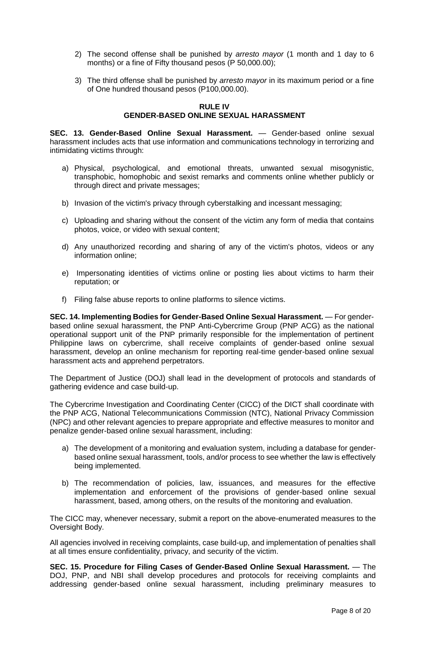- 2) The second offense shall be punished by *arresto mayor* (1 month and 1 day to 6 months) or a fine of Fifty thousand pesos (P 50,000.00);
- 3) The third offense shall be punished by *arresto mayor* in its maximum period or a fine of One hundred thousand pesos (P100,000.00).

## **RULE IV GENDER-BASED ONLINE SEXUAL HARASSMENT**

**SEC. 13. Gender-Based Online Sexual Harassment.** — Gender-based online sexual harassment includes acts that use information and communications technology in terrorizing and intimidating victims through:

- a) Physical, psychological, and emotional threats, unwanted sexual misogynistic, transphobic, homophobic and sexist remarks and comments online whether publicly or through direct and private messages;
- b) Invasion of the victim's privacy through cyberstalking and incessant messaging;
- c) Uploading and sharing without the consent of the victim any form of media that contains photos, voice, or video with sexual content;
- d) Any unauthorized recording and sharing of any of the victim's photos, videos or any information online;
- e) Impersonating identities of victims online or posting lies about victims to harm their reputation; or
- f) Filing false abuse reports to online platforms to silence victims.

**SEC. 14. Implementing Bodies for Gender-Based Online Sexual Harassment.** — For genderbased online sexual harassment, the PNP Anti-Cybercrime Group (PNP ACG) as the national operational support unit of the PNP primarily responsible for the implementation of pertinent Philippine laws on cybercrime, shall receive complaints of gender-based online sexual harassment, develop an online mechanism for reporting real-time gender-based online sexual harassment acts and apprehend perpetrators.

The Department of Justice (DOJ) shall lead in the development of protocols and standards of gathering evidence and case build-up.

The Cybercrime Investigation and Coordinating Center (CICC) of the DICT shall coordinate with the PNP ACG, National Telecommunications Commission (NTC), National Privacy Commission (NPC) and other relevant agencies to prepare appropriate and effective measures to monitor and penalize gender-based online sexual harassment, including:

- a) The development of a monitoring and evaluation system, including a database for genderbased online sexual harassment, tools, and/or process to see whether the law is effectively being implemented.
- b) The recommendation of policies, law, issuances, and measures for the effective implementation and enforcement of the provisions of gender-based online sexual harassment, based, among others, on the results of the monitoring and evaluation.

The CICC may, whenever necessary, submit a report on the above-enumerated measures to the Oversight Body.

All agencies involved in receiving complaints, case build-up, and implementation of penalties shall at all times ensure confidentiality, privacy, and security of the victim.

**SEC. 15. Procedure for Filing Cases of Gender-Based Online Sexual Harassment.** — The DOJ, PNP, and NBI shall develop procedures and protocols for receiving complaints and addressing gender-based online sexual harassment, including preliminary measures to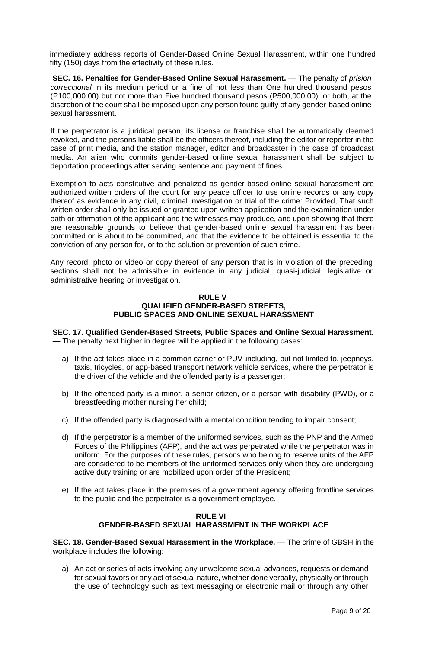immediately address reports of Gender-Based Online Sexual Harassment, within one hundred fifty (150) days from the effectivity of these rules.

**SEC. 16. Penalties for Gender-Based Online Sexual Harassment.** — The penalty of *prision correccional* in its medium period or a fine of not less than One hundred thousand pesos (P100,000.00) but not more than Five hundred thousand pesos (P500,000.00), or both, at the discretion of the court shall be imposed upon any person found guilty of any gender-based online sexual harassment.

If the perpetrator is a juridical person, its license or franchise shall be automatically deemed revoked, and the persons liable shall be the officers thereof, including the editor or reporter in the case of print media, and the station manager, editor and broadcaster in the case of broadcast media. An alien who commits gender-based online sexual harassment shall be subject to deportation proceedings after serving sentence and payment of fines.

Exemption to acts constitutive and penalized as gender-based online sexual harassment are authorized written orders of the court for any peace officer to use online records or any copy thereof as evidence in any civil, criminal investigation or trial of the crime: Provided, That such written order shall only be issued or granted upon written application and the examination under oath or affirmation of the applicant and the witnesses may produce, and upon showing that there are reasonable grounds to believe that gender-based online sexual harassment has been committed or is about to be committed, and that the evidence to be obtained is essential to the conviction of any person for, or to the solution or prevention of such crime.

Any record, photo or video or copy thereof of any person that is in violation of the preceding sections shall not be admissible in evidence in any judicial, quasi-judicial, legislative or administrative hearing or investigation.

#### **RULE V QUALIFIED GENDER-BASED STREETS, PUBLIC SPACES AND ONLINE SEXUAL HARASSMENT**

**SEC. 17. Qualified Gender-Based Streets, Public Spaces and Online Sexual Harassment.** — The penalty next higher in degree will be applied in the following cases:

- a) If the act takes place in a common carrier or PUV including, but not limited to, jeepneys, taxis, tricycles, or app-based transport network vehicle services, where the perpetrator is the driver of the vehicle and the offended party is a passenger;
- b) If the offended party is a minor, a senior citizen, or a person with disability (PWD), or a breastfeeding mother nursing her child;
- c) If the offended party is diagnosed with a mental condition tending to impair consent;
- d) If the perpetrator is a member of the uniformed services, such as the PNP and the Armed Forces of the Philippines (AFP), and the act was perpetrated while the perpetrator was in uniform. For the purposes of these rules, persons who belong to reserve units of the AFP are considered to be members of the uniformed services only when they are undergoing active duty training or are mobilized upon order of the President;
- e) If the act takes place in the premises of a government agency offering frontline services to the public and the perpetrator is a government employee.

## **RULE VI GENDER-BASED SEXUAL HARASSMENT IN THE WORKPLACE**

**SEC. 18. Gender-Based Sexual Harassment in the Workplace.** — The crime of GBSH in the workplace includes the following:

a) An act or series of acts involving any unwelcome sexual advances, requests or demand for sexual favors or any act of sexual nature, whether done verbally, physically or through the use of technology such as text messaging or electronic mail or through any other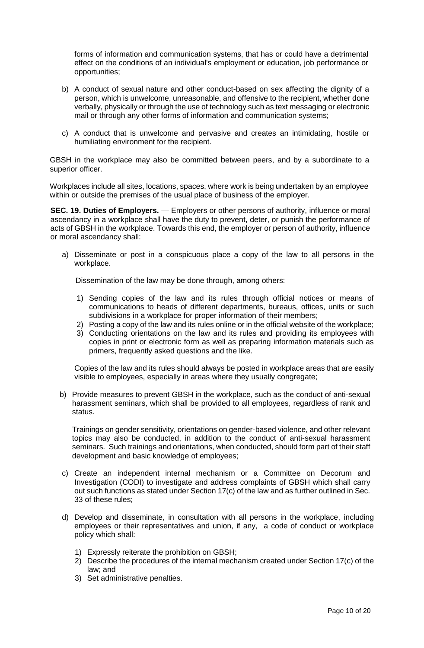forms of information and communication systems, that has or could have a detrimental effect on the conditions of an individual's employment or education, job performance or opportunities;

- b) A conduct of sexual nature and other conduct-based on sex affecting the dignity of a person, which is unwelcome, unreasonable, and offensive to the recipient, whether done verbally, physically or through the use of technology such as text messaging or electronic mail or through any other forms of information and communication systems;
- c) A conduct that is unwelcome and pervasive and creates an intimidating, hostile or humiliating environment for the recipient.

GBSH in the workplace may also be committed between peers, and by a subordinate to a superior officer.

Workplaces include all sites, locations, spaces, where work is being undertaken by an employee within or outside the premises of the usual place of business of the employer.

**SEC. 19. Duties of Employers.** — Employers or other persons of authority, influence or moral ascendancy in a workplace shall have the duty to prevent, deter, or punish the performance of acts of GBSH in the workplace. Towards this end, the employer or person of authority, influence or moral ascendancy shall:

a) Disseminate or post in a conspicuous place a copy of the law to all persons in the workplace.

Dissemination of the law may be done through, among others:

- 1) Sending copies of the law and its rules through official notices or means of communications to heads of different departments, bureaus, offices, units or such subdivisions in a workplace for proper information of their members;
- 2) Posting a copy of the law and its rules online or in the official website of the workplace;
- 3) Conducting orientations on the law and its rules and providing its employees with copies in print or electronic form as well as preparing information materials such as primers, frequently asked questions and the like.

Copies of the law and its rules should always be posted in workplace areas that are easily visible to employees, especially in areas where they usually congregate;

b) Provide measures to prevent GBSH in the workplace, such as the conduct of anti-sexual harassment seminars, which shall be provided to all employees, regardless of rank and status.

Trainings on gender sensitivity, orientations on gender-based violence, and other relevant topics may also be conducted, in addition to the conduct of anti-sexual harassment seminars. Such trainings and orientations, when conducted, should form part of their staff development and basic knowledge of employees;

- c) Create an independent internal mechanism or a Committee on Decorum and Investigation (CODI) to investigate and address complaints of GBSH which shall carry out such functions as stated under Section 17(c) of the law and as further outlined in Sec. 33 of these rules;
- d) Develop and disseminate, in consultation with all persons in the workplace, including employees or their representatives and union, if any, a code of conduct or workplace policy which shall:
	- 1) Expressly reiterate the prohibition on GBSH;
	- 2) Describe the procedures of the internal mechanism created under Section 17(c) of the law; and
	- 3) Set administrative penalties.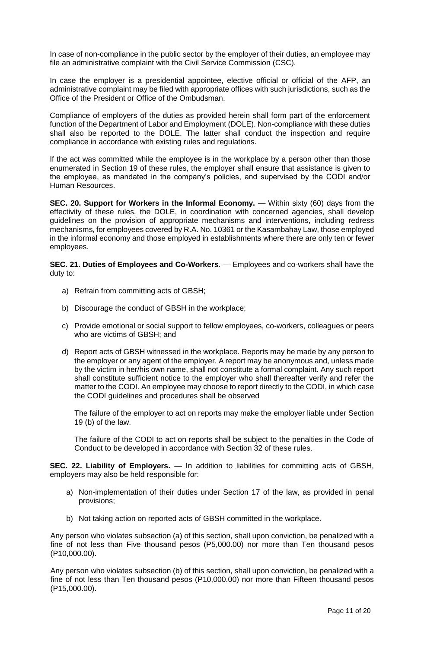In case of non-compliance in the public sector by the employer of their duties, an employee may file an administrative complaint with the Civil Service Commission (CSC).

In case the employer is a presidential appointee, elective official or official of the AFP, an administrative complaint may be filed with appropriate offices with such jurisdictions, such as the Office of the President or Office of the Ombudsman.

Compliance of employers of the duties as provided herein shall form part of the enforcement function of the Department of Labor and Employment (DOLE). Non-compliance with these duties shall also be reported to the DOLE. The latter shall conduct the inspection and require compliance in accordance with existing rules and regulations.

If the act was committed while the employee is in the workplace by a person other than those enumerated in Section 19 of these rules, the employer shall ensure that assistance is given to the employee, as mandated in the company's policies, and supervised by the CODI and/or Human Resources.

**SEC. 20. Support for Workers in the Informal Economy.** — Within sixty (60) days from the effectivity of these rules, the DOLE, in coordination with concerned agencies, shall develop guidelines on the provision of appropriate mechanisms and interventions, including redress mechanisms, for employees covered by R.A. No. 10361 or the Kasambahay Law, those employed in the informal economy and those employed in establishments where there are only ten or fewer employees.

**SEC. 21. Duties of Employees and Co-Workers**. — Employees and co-workers shall have the duty to:

- a) Refrain from committing acts of GBSH;
- b) Discourage the conduct of GBSH in the workplace;
- c) Provide emotional or social support to fellow employees, co-workers, colleagues or peers who are victims of GBSH; and
- d) Report acts of GBSH witnessed in the workplace. Reports may be made by any person to the employer or any agent of the employer. A report may be anonymous and, unless made by the victim in her/his own name, shall not constitute a formal complaint. Any such report shall constitute sufficient notice to the employer who shall thereafter verify and refer the matter to the CODI. An employee may choose to report directly to the CODI, in which case the CODI guidelines and procedures shall be observed

The failure of the employer to act on reports may make the employer liable under Section 19 (b) of the law.

The failure of the CODI to act on reports shall be subject to the penalties in the Code of Conduct to be developed in accordance with Section 32 of these rules.

**SEC. 22. Liability of Employers.** — In addition to liabilities for committing acts of GBSH, employers may also be held responsible for:

- a) Non-implementation of their duties under Section 17 of the law, as provided in penal provisions;
- b) Not taking action on reported acts of GBSH committed in the workplace.

Any person who violates subsection (a) of this section, shall upon conviction, be penalized with a fine of not less than Five thousand pesos (P5,000.00) nor more than Ten thousand pesos (P10,000.00).

Any person who violates subsection (b) of this section, shall upon conviction, be penalized with a fine of not less than Ten thousand pesos (P10,000.00) nor more than Fifteen thousand pesos (P15,000.00).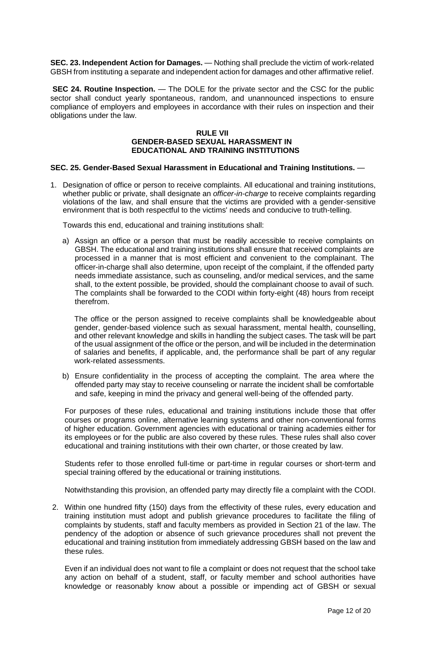**SEC. 23. Independent Action for Damages.** — Nothing shall preclude the victim of work-related GBSH from instituting a separate and independent action for damages and other affirmative relief.

**SEC 24. Routine Inspection.** — The DOLE for the private sector and the CSC for the public sector shall conduct yearly spontaneous, random, and unannounced inspections to ensure compliance of employers and employees in accordance with their rules on inspection and their obligations under the law.

## **RULE VII GENDER-BASED SEXUAL HARASSMENT IN EDUCATIONAL AND TRAINING INSTITUTIONS**

## **SEC. 25. Gender-Based Sexual Harassment in Educational and Training Institutions.** —

1. Designation of office or person to receive complaints. All educational and training institutions, whether public or private, shall designate an *officer-in-charge* to receive complaints regarding violations of the law, and shall ensure that the victims are provided with a gender-sensitive environment that is both respectful to the victims' needs and conducive to truth-telling.

Towards this end, educational and training institutions shall:

a) Assign an office or a person that must be readily accessible to receive complaints on GBSH. The educational and training institutions shall ensure that received complaints are processed in a manner that is most efficient and convenient to the complainant. The officer-in-charge shall also determine, upon receipt of the complaint, if the offended party needs immediate assistance, such as counseling, and/or medical services, and the same shall, to the extent possible, be provided, should the complainant choose to avail of such. The complaints shall be forwarded to the CODI within forty-eight (48) hours from receipt therefrom.

The office or the person assigned to receive complaints shall be knowledgeable about gender, gender-based violence such as sexual harassment, mental health, counselling, and other relevant knowledge and skills in handling the subject cases. The task will be part of the usual assignment of the office or the person, and will be included in the determination of salaries and benefits, if applicable, and, the performance shall be part of any regular work-related assessments.

b) Ensure confidentiality in the process of accepting the complaint. The area where the offended party may stay to receive counseling or narrate the incident shall be comfortable and safe, keeping in mind the privacy and general well-being of the offended party.

For purposes of these rules, educational and training institutions include those that offer courses or programs online, alternative learning systems and other non-conventional forms of higher education. Government agencies with educational or training academies either for its employees or for the public are also covered by these rules. These rules shall also cover educational and training institutions with their own charter, or those created by law.

Students refer to those enrolled full-time or part-time in regular courses or short-term and special training offered by the educational or training institutions.

Notwithstanding this provision, an offended party may directly file a complaint with the CODI.

2. Within one hundred fifty (150) days from the effectivity of these rules, every education and training institution must adopt and publish grievance procedures to facilitate the filing of complaints by students, staff and faculty members as provided in Section 21 of the law. The pendency of the adoption or absence of such grievance procedures shall not prevent the educational and training institution from immediately addressing GBSH based on the law and these rules.

Even if an individual does not want to file a complaint or does not request that the school take any action on behalf of a student, staff, or faculty member and school authorities have knowledge or reasonably know about a possible or impending act of GBSH or sexual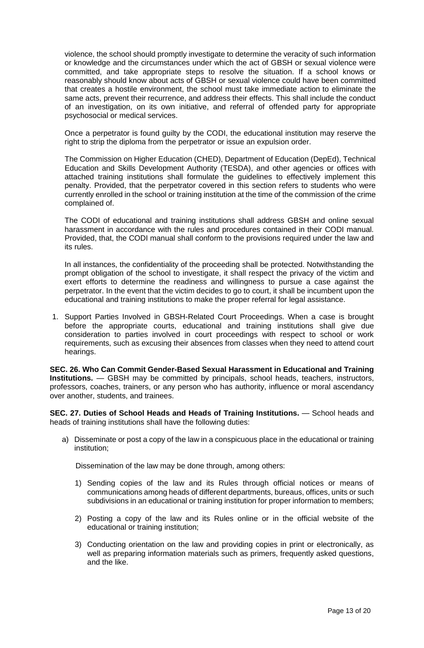violence, the school should promptly investigate to determine the veracity of such information or knowledge and the circumstances under which the act of GBSH or sexual violence were committed, and take appropriate steps to resolve the situation. If a school knows or reasonably should know about acts of GBSH or sexual violence could have been committed that creates a hostile environment, the school must take immediate action to eliminate the same acts, prevent their recurrence, and address their effects. This shall include the conduct of an investigation, on its own initiative, and referral of offended party for appropriate psychosocial or medical services.

Once a perpetrator is found guilty by the CODI, the educational institution may reserve the right to strip the diploma from the perpetrator or issue an expulsion order.

The Commission on Higher Education (CHED), Department of Education (DepEd), Technical Education and Skills Development Authority (TESDA), and other agencies or offices with attached training institutions shall formulate the guidelines to effectively implement this penalty. Provided, that the perpetrator covered in this section refers to students who were currently enrolled in the school or training institution at the time of the commission of the crime complained of.

The CODI of educational and training institutions shall address GBSH and online sexual harassment in accordance with the rules and procedures contained in their CODI manual. Provided, that, the CODI manual shall conform to the provisions required under the law and its rules.

In all instances, the confidentiality of the proceeding shall be protected. Notwithstanding the prompt obligation of the school to investigate, it shall respect the privacy of the victim and exert efforts to determine the readiness and willingness to pursue a case against the perpetrator. In the event that the victim decides to go to court, it shall be incumbent upon the educational and training institutions to make the proper referral for legal assistance.

1. Support Parties Involved in GBSH-Related Court Proceedings. When a case is brought before the appropriate courts, educational and training institutions shall give due consideration to parties involved in court proceedings with respect to school or work requirements, such as excusing their absences from classes when they need to attend court hearings.

**SEC. 26. Who Can Commit Gender-Based Sexual Harassment in Educational and Training Institutions.** — GBSH may be committed by principals, school heads, teachers, instructors, professors, coaches, trainers, or any person who has authority, influence or moral ascendancy over another, students, and trainees.

**SEC. 27. Duties of School Heads and Heads of Training Institutions.** — School heads and heads of training institutions shall have the following duties:

a) Disseminate or post a copy of the law in a conspicuous place in the educational or training institution;

Dissemination of the law may be done through, among others:

- 1) Sending copies of the law and its Rules through official notices or means of communications among heads of different departments, bureaus, offices, units or such subdivisions in an educational or training institution for proper information to members;
- 2) Posting a copy of the law and its Rules online or in the official website of the educational or training institution;
- 3) Conducting orientation on the law and providing copies in print or electronically, as well as preparing information materials such as primers, frequently asked questions, and the like.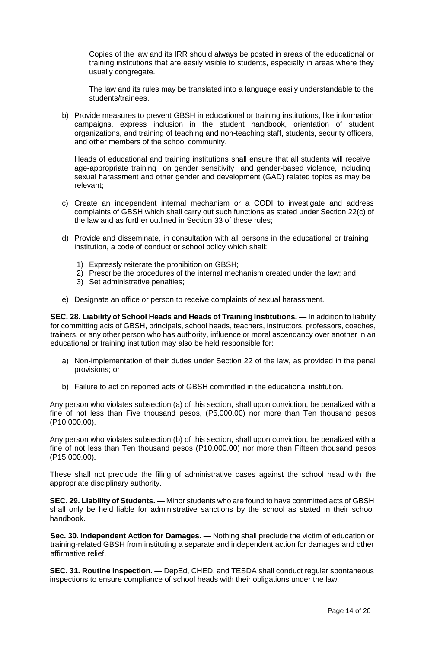Copies of the law and its IRR should always be posted in areas of the educational or training institutions that are easily visible to students, especially in areas where they usually congregate.

The law and its rules may be translated into a language easily understandable to the students/trainees.

b) Provide measures to prevent GBSH in educational or training institutions, like information campaigns, express inclusion in the student handbook, orientation of student organizations, and training of teaching and non-teaching staff, students, security officers, and other members of the school community.

Heads of educational and training institutions shall ensure that all students will receive age-appropriate training on gender sensitivity and gender-based violence, including sexual harassment and other gender and development (GAD) related topics as may be relevant;

- c) Create an independent internal mechanism or a CODI to investigate and address complaints of GBSH which shall carry out such functions as stated under Section 22(c) of the law and as further outlined in Section 33 of these rules;
- d) Provide and disseminate, in consultation with all persons in the educational or training institution, a code of conduct or school policy which shall:
	- 1) Expressly reiterate the prohibition on GBSH;
	- 2) Prescribe the procedures of the internal mechanism created under the law; and
	- 3) Set administrative penalties;
- e) Designate an office or person to receive complaints of sexual harassment.

**SEC. 28. Liability of School Heads and Heads of Training Institutions.** — In addition to liability for committing acts of GBSH, principals, school heads, teachers, instructors, professors, coaches, trainers, or any other person who has authority, influence or moral ascendancy over another in an educational or training institution may also be held responsible for:

- a) Non-implementation of their duties under Section 22 of the law, as provided in the penal provisions; or
- b) Failure to act on reported acts of GBSH committed in the educational institution.

Any person who violates subsection (a) of this section, shall upon conviction, be penalized with a fine of not less than Five thousand pesos, (P5,000.00) nor more than Ten thousand pesos (P10,000.00).

Any person who violates subsection (b) of this section, shall upon conviction, be penalized with a fine of not less than Ten thousand pesos (P10.000.00) nor more than Fifteen thousand pesos (P15,000.00).

These shall not preclude the filing of administrative cases against the school head with the appropriate disciplinary authority.

**SEC. 29. Liability of Students.** — Minor students who are found to have committed acts of GBSH shall only be held liable for administrative sanctions by the school as stated in their school handbook.

**Sec. 30. Independent Action for Damages.** — Nothing shall preclude the victim of education or training-related GBSH from instituting a separate and independent action for damages and other affirmative relief.

**SEC. 31. Routine Inspection.** — DepEd, CHED, and TESDA shall conduct regular spontaneous inspections to ensure compliance of school heads with their obligations under the law.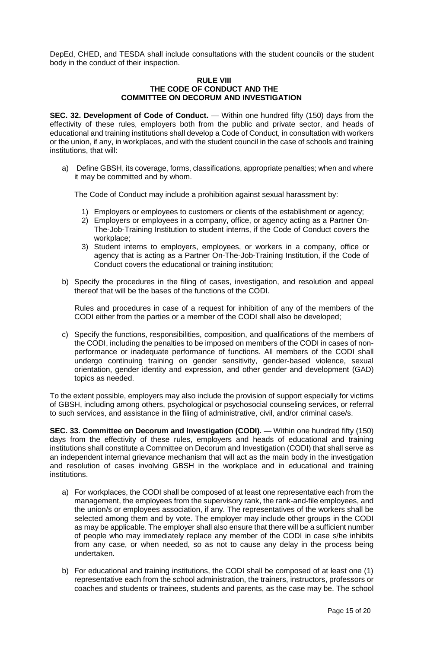DepEd, CHED, and TESDA shall include consultations with the student councils or the student body in the conduct of their inspection.

#### **RULE VIII THE CODE OF CONDUCT AND THE COMMITTEE ON DECORUM AND INVESTIGATION**

**SEC. 32. Development of Code of Conduct.** — Within one hundred fifty (150) days from the effectivity of these rules, employers both from the public and private sector, and heads of educational and training institutions shall develop a Code of Conduct, in consultation with workers or the union, if any, in workplaces, and with the student council in the case of schools and training institutions, that will:

a) Define GBSH, its coverage, forms, classifications, appropriate penalties; when and where it may be committed and by whom.

The Code of Conduct may include a prohibition against sexual harassment by:

- 1) Employers or employees to customers or clients of the establishment or agency;
- 2) Employers or employees in a company, office, or agency acting as a Partner On-The-Job-Training Institution to student interns, if the Code of Conduct covers the workplace;
- 3) Student interns to employers, employees, or workers in a company, office or agency that is acting as a Partner On-The-Job-Training Institution, if the Code of Conduct covers the educational or training institution;
- b) Specify the procedures in the filing of cases, investigation, and resolution and appeal thereof that will be the bases of the functions of the CODI.

Rules and procedures in case of a request for inhibition of any of the members of the CODI either from the parties or a member of the CODI shall also be developed;

c) Specify the functions, responsibilities, composition, and qualifications of the members of the CODI, including the penalties to be imposed on members of the CODI in cases of nonperformance or inadequate performance of functions. All members of the CODI shall undergo continuing training on gender sensitivity, gender-based violence, sexual orientation, gender identity and expression, and other gender and development (GAD) topics as needed.

To the extent possible, employers may also include the provision of support especially for victims of GBSH, including among others, psychological or psychosocial counseling services, or referral to such services, and assistance in the filing of administrative, civil, and/or criminal case/s.

**SEC. 33. Committee on Decorum and Investigation (CODI).** — Within one hundred fifty (150) days from the effectivity of these rules, employers and heads of educational and training institutions shall constitute a Committee on Decorum and Investigation (CODI) that shall serve as an independent internal grievance mechanism that will act as the main body in the investigation and resolution of cases involving GBSH in the workplace and in educational and training institutions.

- a) For workplaces, the CODI shall be composed of at least one representative each from the management, the employees from the supervisory rank, the rank-and-file employees, and the union/s or employees association, if any. The representatives of the workers shall be selected among them and by vote. The employer may include other groups in the CODI as may be applicable. The employer shall also ensure that there will be a sufficient number of people who may immediately replace any member of the CODI in case s/he inhibits from any case, or when needed, so as not to cause any delay in the process being undertaken.
- b) For educational and training institutions, the CODI shall be composed of at least one (1) representative each from the school administration, the trainers, instructors, professors or coaches and students or trainees, students and parents, as the case may be. The school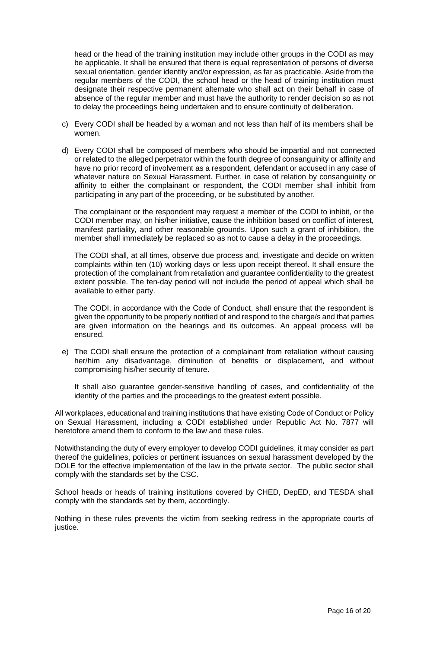head or the head of the training institution may include other groups in the CODI as may be applicable. It shall be ensured that there is equal representation of persons of diverse sexual orientation, gender identity and/or expression, as far as practicable. Aside from the regular members of the CODI, the school head or the head of training institution must designate their respective permanent alternate who shall act on their behalf in case of absence of the regular member and must have the authority to render decision so as not to delay the proceedings being undertaken and to ensure continuity of deliberation.

- c) Every CODI shall be headed by a woman and not less than half of its members shall be women.
- d) Every CODI shall be composed of members who should be impartial and not connected or related to the alleged perpetrator within the fourth degree of consanguinity or affinity and have no prior record of involvement as a respondent, defendant or accused in any case of whatever nature on Sexual Harassment. Further, in case of relation by consanguinity or affinity to either the complainant or respondent, the CODI member shall inhibit from participating in any part of the proceeding, or be substituted by another.

The complainant or the respondent may request a member of the CODI to inhibit, or the CODI member may, on his/her initiative, cause the inhibition based on conflict of interest, manifest partiality, and other reasonable grounds. Upon such a grant of inhibition, the member shall immediately be replaced so as not to cause a delay in the proceedings.

The CODI shall, at all times, observe due process and, investigate and decide on written complaints within ten (10) working days or less upon receipt thereof. It shall ensure the protection of the complainant from retaliation and guarantee confidentiality to the greatest extent possible. The ten-day period will not include the period of appeal which shall be available to either party.

The CODI, in accordance with the Code of Conduct, shall ensure that the respondent is given the opportunity to be properly notified of and respond to the charge/s and that parties are given information on the hearings and its outcomes. An appeal process will be ensured.

e) The CODI shall ensure the protection of a complainant from retaliation without causing her/him any disadvantage, diminution of benefits or displacement, and without compromising his/her security of tenure.

It shall also guarantee gender-sensitive handling of cases, and confidentiality of the identity of the parties and the proceedings to the greatest extent possible.

All workplaces, educational and training institutions that have existing Code of Conduct or Policy on Sexual Harassment, including a CODI established under Republic Act No. 7877 will heretofore amend them to conform to the law and these rules.

Notwithstanding the duty of every employer to develop CODI guidelines, it may consider as part thereof the guidelines, policies or pertinent issuances on sexual harassment developed by the DOLE for the effective implementation of the law in the private sector. The public sector shall comply with the standards set by the CSC.

School heads or heads of training institutions covered by CHED, DepED, and TESDA shall comply with the standards set by them, accordingly.

Nothing in these rules prevents the victim from seeking redress in the appropriate courts of justice.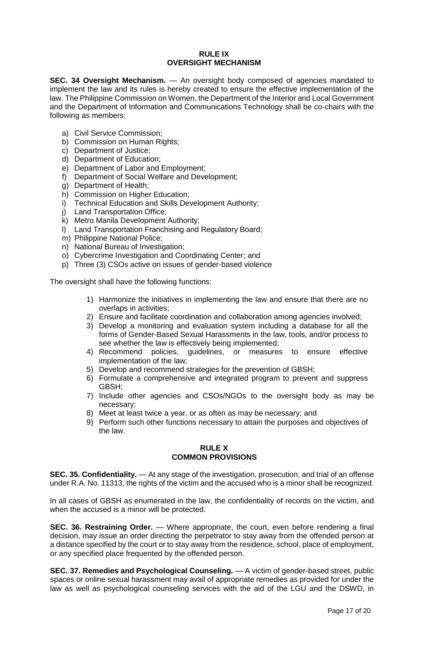#### **RULE IX OVERSIGHT MECHANISM**

**SEC. 34 Oversight Mechanism.** — An oversight body composed of agencies mandated to implement the law and its rules is hereby created to ensure the effective implementation of the law. The Philippine Commission on Women, the Department of the Interior and Local Government and the Department of Information and Communications Technology shall be co-chairs with the following as members:

- a) Civil Service Commission;
- b) Commission on Human Rights;
- c) Department of Justice;
- d) Department of Education;
- e) Department of Labor and Employment;
- f) Department of Social Welfare and Development;
- g) Department of Health;
- h) Commission on Higher Education;
- i) Technical Education and Skills Development Authority;
- j) Land Transportation Office;
- k) Metro Manila Development Authority;
- l) Land Transportation Franchising and Regulatory Board;
- m) Philippine National Police;
- n) National Bureau of Investigation;
- o) Cybercrime Investigation and Coordinating Center; and
- p) Three (3) CSOs active on issues of gender-based violence

The oversight shall have the following functions:

- 1) Harmonize the initiatives in implementing the law and ensure that there are no overlaps in activities;
- 2) Ensure and facilitate coordination and collaboration among agencies involved;
- 3) Develop a monitoring and evaluation system including a database for all the forms of Gender-Based Sexual Harassments in the law, tools, and/or process to see whether the law is effectively being implemented;
- 4) Recommend policies, guidelines, or measures to ensure effective implementation of the law;
- 5) Develop and recommend strategies for the prevention of GBSH;
- 6) Formulate a comprehensive and integrated program to prevent and suppress GBSH;
- 7) Include other agencies and CSOs/NGOs to the oversight body as may be necessary;
- 8) Meet at least twice a year, or as often as may be necessary; and
- 9) Perform such other functions necessary to attain the purposes and objectives of the law.

# **RULE X COMMON PROVISIONS**

**SEC. 35. Confidentiality.** — At any stage of the investigation, prosecution, and trial of an offense under R.A. No. 11313, the rights of the victim and the accused who is a minor shall be recognized.

In all cases of GBSH as enumerated in the law, the confidentiality of records on the victim, and when the accused is a minor will be protected.

**SEC. 36. Restraining Order.** — Where appropriate, the court, even before rendering a final decision, may issue an order directing the perpetrator to stay away from the offended person at a distance specified by the court or to stay away from the residence, school, place of employment, or any specified place frequented by the offended person.

**SEC. 37. Remedies and Psychological Counseling.** — A victim of gender-based street, public spaces or online sexual harassment may avail of appropriate remedies as provided for under the law as well as psychological counseling services with the aid of the LGU and the DSWD, in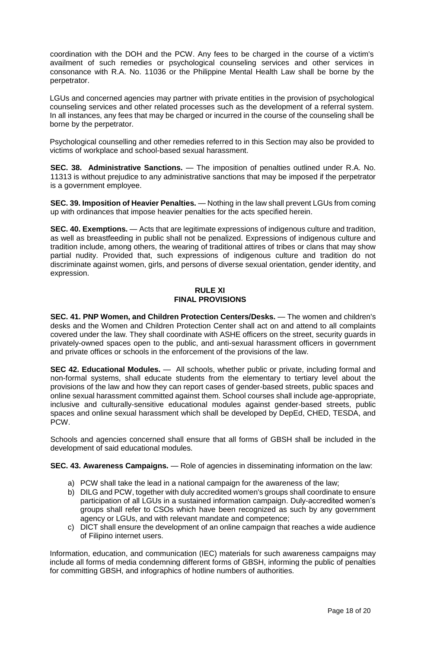coordination with the DOH and the PCW. Any fees to be charged in the course of a victim's availment of such remedies or psychological counseling services and other services in consonance with R.A. No. 11036 or the Philippine Mental Health Law shall be borne by the perpetrator.

LGUs and concerned agencies may partner with private entities in the provision of psychological counseling services and other related processes such as the development of a referral system. In all instances, any fees that may be charged or incurred in the course of the counseling shall be borne by the perpetrator.

Psychological counselling and other remedies referred to in this Section may also be provided to victims of workplace and school-based sexual harassment.

**SEC. 38. Administrative Sanctions.** — The imposition of penalties outlined under R.A. No. 11313 is without prejudice to any administrative sanctions that may be imposed if the perpetrator is a government employee.

**SEC. 39. Imposition of Heavier Penalties.** — Nothing in the law shall prevent LGUs from coming up with ordinances that impose heavier penalties for the acts specified herein.

**SEC. 40. Exemptions.** — Acts that are legitimate expressions of indigenous culture and tradition, as well as breastfeeding in public shall not be penalized. Expressions of indigenous culture and tradition include, among others, the wearing of traditional attires of tribes or clans that may show partial nudity. Provided that, such expressions of indigenous culture and tradition do not discriminate against women, girls, and persons of diverse sexual orientation, gender identity, and expression.

# **RULE XI FINAL PROVISIONS**

**SEC. 41. PNP Women, and Children Protection Centers/Desks.** — The women and children's desks and the Women and Children Protection Center shall act on and attend to all complaints covered under the law. They shall coordinate with ASHE officers on the street, security guards in privately-owned spaces open to the public, and anti-sexual harassment officers in government and private offices or schools in the enforcement of the provisions of the law.

**SEC 42. Educational Modules.** — All schools, whether public or private, including formal and non-formal systems, shall educate students from the elementary to tertiary level about the provisions of the law and how they can report cases of gender-based streets, public spaces and online sexual harassment committed against them. School courses shall include age-appropriate, inclusive and culturally-sensitive educational modules against gender-based streets, public spaces and online sexual harassment which shall be developed by DepEd, CHED, TESDA, and PCW.

Schools and agencies concerned shall ensure that all forms of GBSH shall be included in the development of said educational modules.

**SEC. 43. Awareness Campaigns.** — Role of agencies in disseminating information on the law:

- a) PCW shall take the lead in a national campaign for the awareness of the law;
- b) DILG and PCW, together with duly accredited women's groups shall coordinate to ensure participation of all LGUs in a sustained information campaign. Duly-accredited women's groups shall refer to CSOs which have been recognized as such by any government agency or LGUs, and with relevant mandate and competence;
- c) DICT shall ensure the development of an online campaign that reaches a wide audience of Filipino internet users.

Information, education, and communication (IEC) materials for such awareness campaigns may include all forms of media condemning different forms of GBSH, informing the public of penalties for committing GBSH, and infographics of hotline numbers of authorities.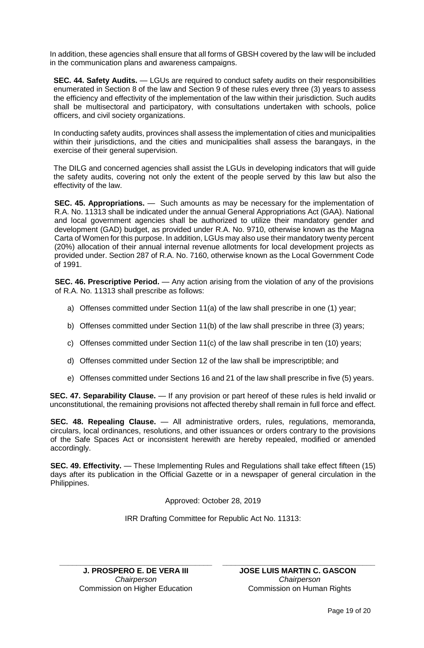In addition, these agencies shall ensure that all forms of GBSH covered by the law will be included in the communication plans and awareness campaigns.

**SEC. 44. Safety Audits.** — LGUs are required to conduct safety audits on their responsibilities enumerated in Section 8 of the law and Section 9 of these rules every three (3) years to assess the efficiency and effectivity of the implementation of the law within their jurisdiction. Such audits shall be multisectoral and participatory, with consultations undertaken with schools, police officers, and civil society organizations.

In conducting safety audits, provinces shall assess the implementation of cities and municipalities within their jurisdictions, and the cities and municipalities shall assess the barangays, in the exercise of their general supervision.

The DILG and concerned agencies shall assist the LGUs in developing indicators that will guide the safety audits, covering not only the extent of the people served by this law but also the effectivity of the law.

**SEC. 45. Appropriations.** — Such amounts as may be necessary for the implementation of R.A. No. 11313 shall be indicated under the annual General Appropriations Act (GAA). National and local government agencies shall be authorized to utilize their mandatory gender and development (GAD) budget, as provided under R.A. No. 9710, otherwise known as the Magna Carta of Women for this purpose. In addition, LGUs may also use their mandatory twenty percent (20%) allocation of their annual internal revenue allotments for local development projects as provided under. Section 287 of R.A. No. 7160, otherwise known as the Local Government Code of 1991.

**SEC. 46. Prescriptive Period.** — Any action arising from the violation of any of the provisions of R.A. No. 11313 shall prescribe as follows:

- a) Offenses committed under Section 11(a) of the law shall prescribe in one (1) year;
- b) Offenses committed under Section 11(b) of the law shall prescribe in three (3) years;
- c) Offenses committed under Section 11(c) of the law shall prescribe in ten (10) years;
- d) Offenses committed under Section 12 of the law shall be imprescriptible; and
- e) Offenses committed under Sections 16 and 21 of the law shall prescribe in five (5) years.

**SEC. 47. Separability Clause.** — If any provision or part hereof of these rules is held invalid or unconstitutional, the remaining provisions not affected thereby shall remain in full force and effect.

**SEC. 48. Repealing Clause.** — All administrative orders, rules, regulations, memoranda, circulars, local ordinances, resolutions, and other issuances or orders contrary to the provisions of the Safe Spaces Act or inconsistent herewith are hereby repealed, modified or amended accordingly.

**SEC. 49. Effectivity.** — These Implementing Rules and Regulations shall take effect fifteen (15) days after its publication in the Official Gazette or in a newspaper of general circulation in the Philippines.

Approved: October 28, 2019

IRR Drafting Committee for Republic Act No. 11313:

**\_\_\_\_\_\_\_\_\_\_\_\_\_\_\_\_\_\_\_\_\_\_\_\_\_\_\_\_\_\_\_\_\_\_\_\_ J. PROSPERO E. DE VERA III** *Chairperson* Commission on Higher Education

**JOSE LUIS MARTIN C. GASCON** *Chairperson* Commission on Human Rights

**\_\_\_\_\_\_\_\_\_\_\_\_\_\_\_\_\_\_\_\_\_\_\_\_\_\_\_\_\_\_\_\_\_\_\_\_**